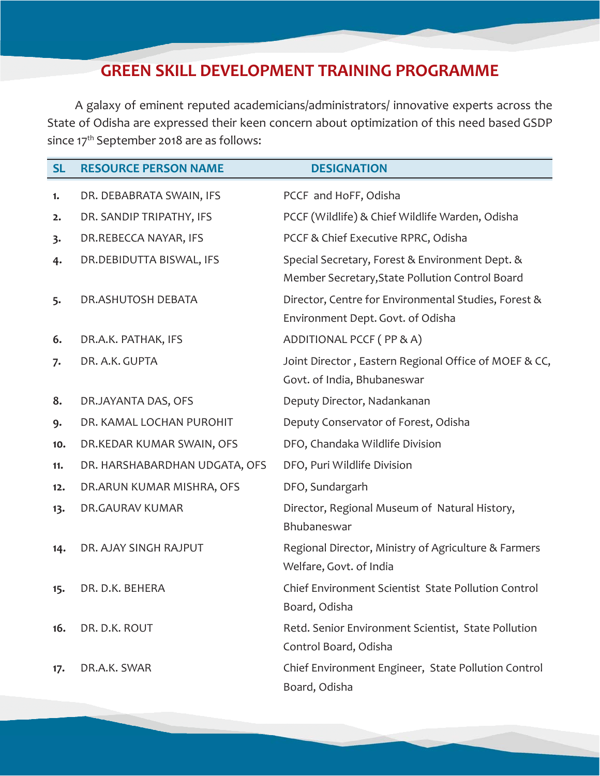## **GREEN SKILL DEVELOPMENT TRAINING PROGRAMME**

A galaxy of eminent reputed academicians/administrators/ innovative experts across the State of Odisha are expressed their keen concern about optimization of this need based GSDP since 17<sup>th</sup> September 2018 are as follows:

| <b>SL</b> | <b>RESOURCE PERSON NAME</b>   | <b>DESIGNATION</b>                                                                                 |
|-----------|-------------------------------|----------------------------------------------------------------------------------------------------|
| 1.        | DR. DEBABRATA SWAIN, IFS      | PCCF and HoFF, Odisha                                                                              |
| 2.        | DR. SANDIP TRIPATHY, IFS      | PCCF (Wildlife) & Chief Wildlife Warden, Odisha                                                    |
| 3.        | DR.REBECCA NAYAR, IFS         | PCCF & Chief Executive RPRC, Odisha                                                                |
| 4.        | DR.DEBIDUTTA BISWAL, IFS      | Special Secretary, Forest & Environment Dept. &<br>Member Secretary, State Pollution Control Board |
| 5.        | DR.ASHUTOSH DEBATA            | Director, Centre for Environmental Studies, Forest &<br>Environment Dept. Govt. of Odisha          |
| 6.        | DR.A.K. PATHAK, IFS           | ADDITIONAL PCCF (PP & A)                                                                           |
| 7.        | DR. A.K. GUPTA                | Joint Director, Eastern Regional Office of MOEF & CC,<br>Govt. of India, Bhubaneswar               |
| 8.        | DR.JAYANTA DAS, OFS           | Deputy Director, Nadankanan                                                                        |
| 9.        | DR. KAMAL LOCHAN PUROHIT      | Deputy Conservator of Forest, Odisha                                                               |
| 10.       | DR.KEDAR KUMAR SWAIN, OFS     | DFO, Chandaka Wildlife Division                                                                    |
| 11.       | DR. HARSHABARDHAN UDGATA, OFS | DFO, Puri Wildlife Division                                                                        |
| 12.       | DR.ARUN KUMAR MISHRA, OFS     | DFO, Sundargarh                                                                                    |
| 13.       | DR.GAURAV KUMAR               | Director, Regional Museum of Natural History,<br>Bhubaneswar                                       |
| 14.       | DR. AJAY SINGH RAJPUT         | Regional Director, Ministry of Agriculture & Farmers<br>Welfare, Govt. of India                    |
| 15.       | DR. D.K. BEHERA               | Chief Environment Scientist State Pollution Control<br>Board, Odisha                               |
| 16.       | DR. D.K. ROUT                 | Retd. Senior Environment Scientist, State Pollution<br>Control Board, Odisha                       |
| 17.       | DR.A.K. SWAR                  | Chief Environment Engineer, State Pollution Control<br>Board, Odisha                               |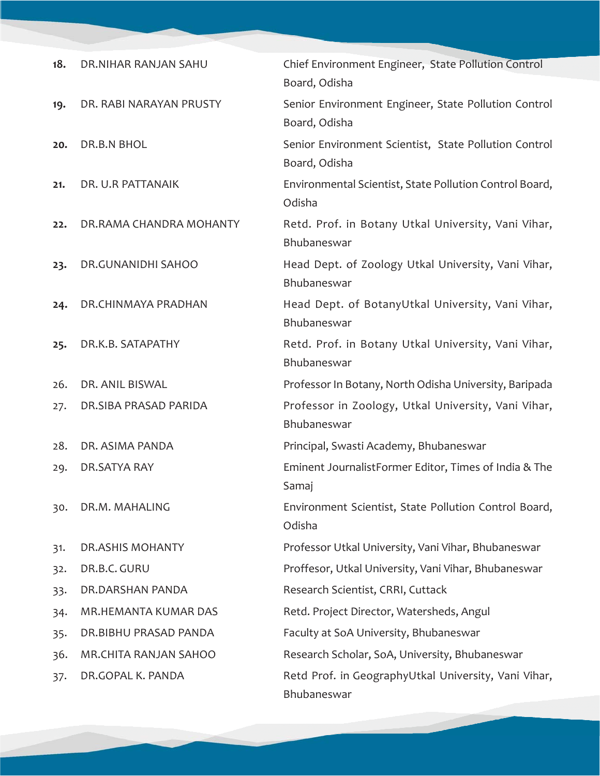| 18. | DR.NIHAR RANJAN SAHU         | Chief Environment Engineer, State Pollution Control<br>Board, Odisha   |
|-----|------------------------------|------------------------------------------------------------------------|
| 19. | DR. RABI NARAYAN PRUSTY      | Senior Environment Engineer, State Pollution Control<br>Board, Odisha  |
| 20. | DR.B.N BHOL                  | Senior Environment Scientist, State Pollution Control<br>Board, Odisha |
| 21. | DR. U.R PATTANAIK            | Environmental Scientist, State Pollution Control Board,<br>Odisha      |
| 22. | DR.RAMA CHANDRA MOHANTY      | Retd. Prof. in Botany Utkal University, Vani Vihar,<br>Bhubaneswar     |
| 23. | DR.GUNANIDHI SAHOO           | Head Dept. of Zoology Utkal University, Vani Vihar,<br>Bhubaneswar     |
| 24. | DR.CHINMAYA PRADHAN          | Head Dept. of BotanyUtkal University, Vani Vihar,<br>Bhubaneswar       |
| 25. | DR.K.B. SATAPATHY            | Retd. Prof. in Botany Utkal University, Vani Vihar,<br>Bhubaneswar     |
| 26. | DR. ANIL BISWAL              | Professor In Botany, North Odisha University, Baripada                 |
| 27. | DR.SIBA PRASAD PARIDA        | Professor in Zoology, Utkal University, Vani Vihar,<br>Bhubaneswar     |
| 28. | DR. ASIMA PANDA              | Principal, Swasti Academy, Bhubaneswar                                 |
| 29. | DR.SATYA RAY                 | Eminent JournalistFormer Editor, Times of India & The<br>Samaj         |
| 30. | DR.M. MAHALING               | Environment Scientist, State Pollution Control Board,<br>Odisha        |
| 31. | <b>DR.ASHIS MOHANTY</b>      | Professor Utkal University, Vani Vihar, Bhubaneswar                    |
| 32. | DR.B.C. GURU                 | Proffesor, Utkal University, Vani Vihar, Bhubaneswar                   |
| 33. | DR.DARSHAN PANDA             | Research Scientist, CRRI, Cuttack                                      |
| 34. | MR.HEMANTA KUMAR DAS         | Retd. Project Director, Watersheds, Angul                              |
| 35. | DR.BIBHU PRASAD PANDA        | Faculty at SoA University, Bhubaneswar                                 |
| 36. | <b>MR.CHITA RANJAN SAHOO</b> | Research Scholar, SoA, University, Bhubaneswar                         |
| 37. | DR.GOPAL K. PANDA            | Retd Prof. in GeographyUtkal University, Vani Vihar,<br>Bhubaneswar    |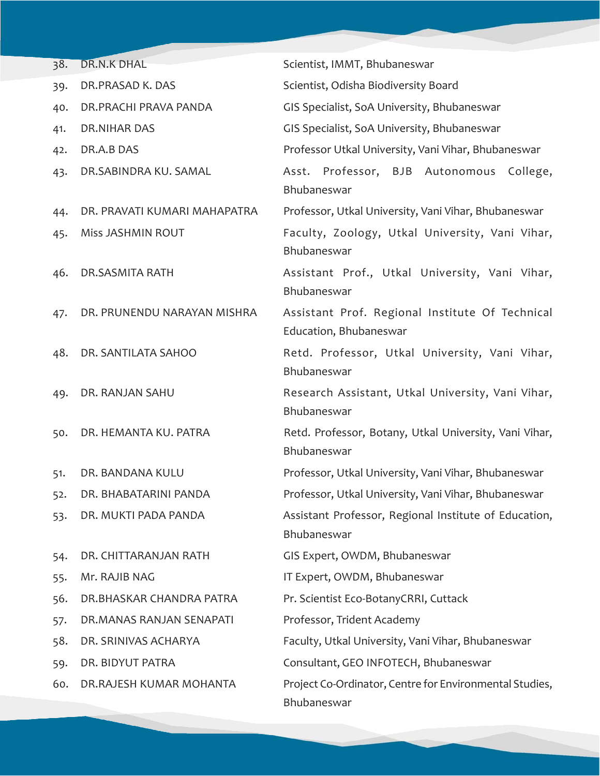| 38. | <b>DR.N.K DHAL</b>           | Scientist, IMMT, Bhubaneswar                                              |
|-----|------------------------------|---------------------------------------------------------------------------|
| 39. | DR.PRASAD K. DAS             | Scientist, Odisha Biodiversity Board                                      |
| 40. | DR.PRACHI PRAVA PANDA        | GIS Specialist, SoA University, Bhubaneswar                               |
| 41. | DR.NIHAR DAS                 | GIS Specialist, SoA University, Bhubaneswar                               |
| 42. | DR.A.B DAS                   | Professor Utkal University, Vani Vihar, Bhubaneswar                       |
| 43. | DR.SABINDRA KU. SAMAL        | Asst. Professor, BJB Autonomous<br>College,<br>Bhubaneswar                |
| 44. | DR. PRAVATI KUMARI MAHAPATRA | Professor, Utkal University, Vani Vihar, Bhubaneswar                      |
| 45. | Miss JASHMIN ROUT            | Faculty, Zoology, Utkal University, Vani Vihar,<br>Bhubaneswar            |
| 46. | DR.SASMITA RATH              | Assistant Prof., Utkal University, Vani Vihar,<br>Bhubaneswar             |
| 47. | DR. PRUNENDU NARAYAN MISHRA  | Assistant Prof. Regional Institute Of Technical<br>Education, Bhubaneswar |
| 48. | DR. SANTILATA SAHOO          | Retd. Professor, Utkal University, Vani Vihar,<br>Bhubaneswar             |
| 49. | DR. RANJAN SAHU              | Research Assistant, Utkal University, Vani Vihar,<br>Bhubaneswar          |
| 50. | DR. HEMANTA KU. PATRA        | Retd. Professor, Botany, Utkal University, Vani Vihar,<br>Bhubaneswar     |
| 51. | DR. BANDANA KULU             | Professor, Utkal University, Vani Vihar, Bhubaneswar                      |
| 52. | DR. BHABATARINI PANDA        | Professor, Utkal University, Vani Vihar, Bhubaneswar                      |
| 53. | DR. MUKTI PADA PANDA         | Assistant Professor, Regional Institute of Education,<br>Bhubaneswar      |
| 54. | DR. CHITTARANJAN RATH        | GIS Expert, OWDM, Bhubaneswar                                             |
| 55. | Mr. RAJIB NAG                | IT Expert, OWDM, Bhubaneswar                                              |
| 56. | DR.BHASKAR CHANDRA PATRA     | Pr. Scientist Eco-BotanyCRRI, Cuttack                                     |
| 57. | DR.MANAS RANJAN SENAPATI     | Professor, Trident Academy                                                |
| 58. | DR. SRINIVAS ACHARYA         | Faculty, Utkal University, Vani Vihar, Bhubaneswar                        |
| 59. | DR. BIDYUT PATRA             | Consultant, GEO INFOTECH, Bhubaneswar                                     |
| 60. | DR.RAJESH KUMAR MOHANTA      | Project Co-Ordinator, Centre for Environmental Studies,<br>Bhubaneswar    |